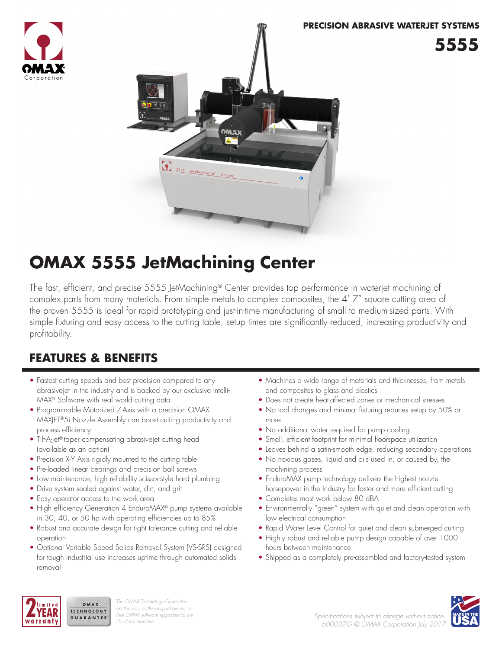



# **OMAX 5555 JetMachining Center**

The fast, efficient, and precise 5555 JetMachining® Center provides top performance in waterjet machining of complex parts from many materials. From simple metals to complex composites, the 4' 7" square cutting area of the proven 5555 is ideal for rapid prototyping and just-in-time manufacturing of small to medium-sized parts. With simple fixturing and easy access to the cutting table, setup times are significantly reduced, increasing productivity and profitability.

# **FEATURES & BENEFITS**

- Fastest cutting speeds and best precision compared to any abrasivejet in the industry and is backed by our exclusive Intelli-MAX® Software with real world cutting data
- Programmable Motorized Z-Axis with a precision OMAX MAXJET®5i Nozzle Assembly can boost cutting productivity and process efficiency
- Tilt-A-Jet® taper compensating abrasivejet cutting head (available as an option)
- Precision X-Y Axis rigidly mounted to the cutting table
- Pre-loaded linear bearings and precision ball screws
- Low maintenance, high reliability scissor-style hard plumbing
- Drive system sealed against water, dirt, and grit
- Easy operator access to the work area

OMAX

- High efficiency Generation 4 EnduroMAX® pump systems available in 30, 40, or 50 hp with operating efficiencies up to 85%
- Robust and accurate design for tight tolerance cutting and reliable operation
- Optional Variable Speed Solids Removal System (VS-SRS) designed for tough industrial use increases uptime through automated solids removal
- Machines a wide range of materials and thicknesses, from metals and composites to glass and plastics
- Does not create heat-affected zones or mechanical stresses
- No tool changes and minimal fixturing reduces setup by 50% or more
- No additional water required for pump cooling
- Small, efficient footprint for minimal floorspace utilization
- Leaves behind a satin-smooth edge, reducing secondary operations
- No noxious gases, liquid and oils used in, or caused by, the machining process
- EnduroMAX pump technology delivers the highest nozzle horsepower in the industry for faster and more efficient cutting
- Completes most work below 80 dBA
- Environmentally "green" system with quiet and clean operation with low electrical consumption
- Rapid Water Level Control for quiet and clean submerged cutting
- Highly robust and reliable pump design capable of over 1000 hours between maintenance
- Shipped as a completely pre-assembled and factory-tested system